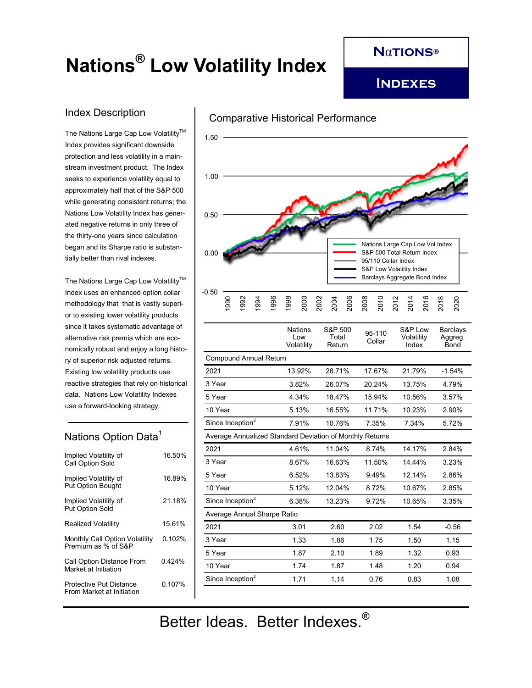# **Nations® Low Volatility Index**

**N**α**tions®**

**Indexes**

## Index Description

The Nations Large Cap Low Volatility™ Index provides significant downside protection and less volatility in a mainstream investment product. The Index seeks to experience volatility equal to approximately half that of the S&P 500 while generating consistent returns; the Nations Low Volatility Index has generated negative returns in only three of the thirty-one years since calculation began and its Sharpe ratio is substantially better than rival indexes.

The Nations Large Cap Low Volatility<sup>™</sup> Index uses an enhanced option collar methodology that that is vastly superior to existing lower volatility products since it takes systematic advantage of alternative risk premia which are economically robust and enjoy a long history of superior risk adjusted returns. Existing low volatility products use reactive strategies that rely on historical data. Nations Low Volatility Indexes use a forward-looking strategy.

# Nations Option Data<sup>1</sup>

| Implied Volatility of<br>Call Option Sold                   | 16.50% |
|-------------------------------------------------------------|--------|
| Implied Volatility of<br><b>Put Option Bought</b>           | 1689%  |
| Implied Volatility of<br><b>Put Option Sold</b>             | 21 18% |
| Realized Volatility                                         | 1561%  |
| Monthly Call Option Volatility<br>Premium as % of S&P       | 0.102% |
| Call Option Distance From<br>Market at Initiation           | 0.424% |
| <b>Protective Put Distance</b><br>From Market at Initiation | 0 107% |
|                                                             |        |



|                                                          | <b>Nations</b><br>Low<br>Volatility | S&P 500<br>Total<br>Return | 95-110<br>Collar | S&P Low<br>Volatility<br>Index | Barclays<br>Aggreg.<br>Bond |
|----------------------------------------------------------|-------------------------------------|----------------------------|------------------|--------------------------------|-----------------------------|
| <b>Compound Annual Return</b>                            |                                     |                            |                  |                                |                             |
| 2021                                                     | 13.92%                              | 28.71%                     | 17.67%           | 21.79%                         | $-1.54%$                    |
| 3 Year                                                   | 3.82%                               | 26.07%                     | 20 24%           | 13.75%                         | 4.79%                       |
| 5 Year                                                   | 4.34%                               | 18.47%                     | 15.94%           | 10.56%                         | 3.57%                       |
| 10 Year                                                  | 5.13%                               | 16.55%                     | 11 71%           | 10.23%                         | 2.90%                       |
| Since Inception <sup>2</sup>                             | 7.91%                               | 10.76%                     | 7.35%            | 7.34%                          | 5.72%                       |
| Average Annualized Standard Deviation of Monthly Returns |                                     |                            |                  |                                |                             |
| 2021                                                     | 4.61%                               | 11.04%                     | 8 74%            | 14.17%                         | 2.84%                       |
| 3 Year                                                   | 8.67%                               | 16.63%                     | 11.50%           | 14.44%                         | 3.23%                       |
| 5 Year                                                   | 6.52%                               | 13.83%                     | 9.49%            | 12.14%                         | 2.86%                       |
| 10 Year                                                  | 5.12%                               | 12.04%                     | 8.72%            | 10.67%                         | 2.85%                       |
| Since Inception <sup>2</sup>                             | 6.38%                               | 13.23%                     | 9.72%            | 10.65%                         | 3.35%                       |
| Average Annual Sharpe Ratio                              |                                     |                            |                  |                                |                             |
| 2021                                                     | 3.01                                | 2.60                       | 2.02             | 1.54                           | $-0.56$                     |
| 3 Year                                                   | 1.33                                | 1.86                       | 1.75             | 1.50                           | 1.15                        |
| 5 Year                                                   | 1.87                                | 2.10                       | 1.89             | 1.32                           | 0.93                        |
| 10 Year                                                  | 174                                 | 1.87                       | 148              | 1.20                           | 0.94                        |
| Since Inception <sup>2</sup>                             | 1.71                                | 1.14                       | 0.76             | 0.83                           | 1.08                        |
|                                                          |                                     |                            |                  |                                |                             |

Better Ideas. Better Indexes.®

#### Comparative Historical Performance